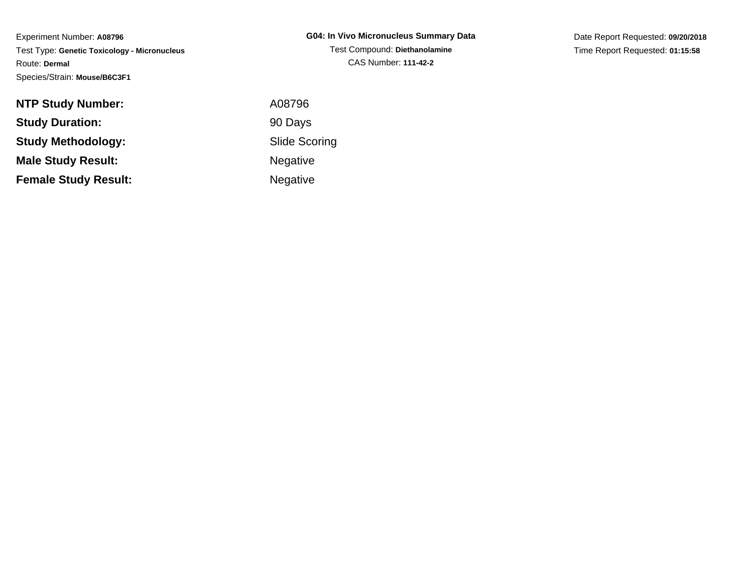| G04: In Vivo Micronucleus Summary Data |
|----------------------------------------|
| Test Compound: Diethanolamine          |
| CAS Number: 111-42-2                   |

Date Report Requested: **09/20/2018**Time Report Requested: **01:15:58**

| <b>NTP Study Number:</b>    | A08796    |
|-----------------------------|-----------|
| <b>Study Duration:</b>      | 90 Days   |
| <b>Study Methodology:</b>   | Slide Sco |
| <b>Male Study Result:</b>   | Negative  |
| <b>Female Study Result:</b> | Negative  |

Scoring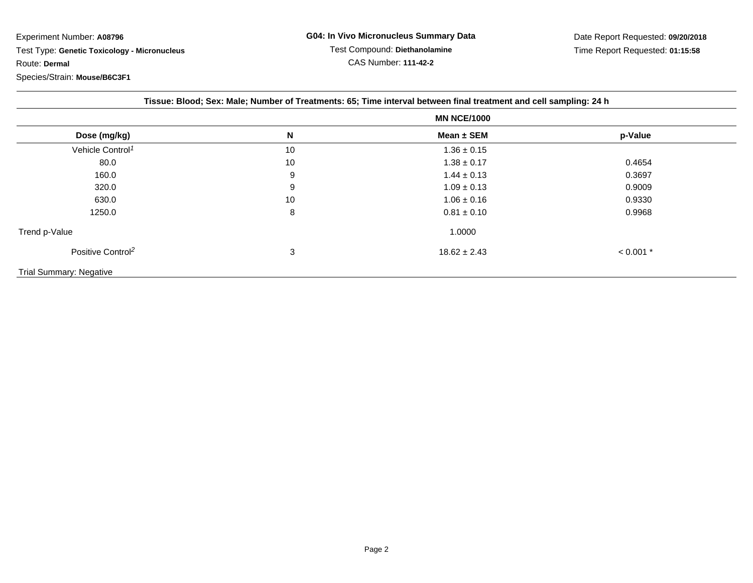| Tissue: Blood; Sex: Male; Number of Treatments: 65; Time interval between final treatment and cell sampling: 24 h |    |                    |             |  |  |  |
|-------------------------------------------------------------------------------------------------------------------|----|--------------------|-------------|--|--|--|
|                                                                                                                   |    | <b>MN NCE/1000</b> |             |  |  |  |
| Dose (mg/kg)                                                                                                      | N  | Mean $\pm$ SEM     | p-Value     |  |  |  |
| Vehicle Control <sup>1</sup>                                                                                      | 10 | $1.36 \pm 0.15$    |             |  |  |  |
| 80.0                                                                                                              | 10 | $1.38 \pm 0.17$    | 0.4654      |  |  |  |
| 160.0                                                                                                             | 9  | $1.44 \pm 0.13$    | 0.3697      |  |  |  |
| 320.0                                                                                                             | 9  | $1.09 \pm 0.13$    | 0.9009      |  |  |  |
| 630.0                                                                                                             | 10 | $1.06 \pm 0.16$    | 0.9330      |  |  |  |
| 1250.0                                                                                                            | 8  | $0.81 \pm 0.10$    | 0.9968      |  |  |  |
| Trend p-Value                                                                                                     |    | 1.0000             |             |  |  |  |
| Positive Control <sup>2</sup>                                                                                     | 3  | $18.62 \pm 2.43$   | $< 0.001$ * |  |  |  |
| <b>Trial Summary: Negative</b>                                                                                    |    |                    |             |  |  |  |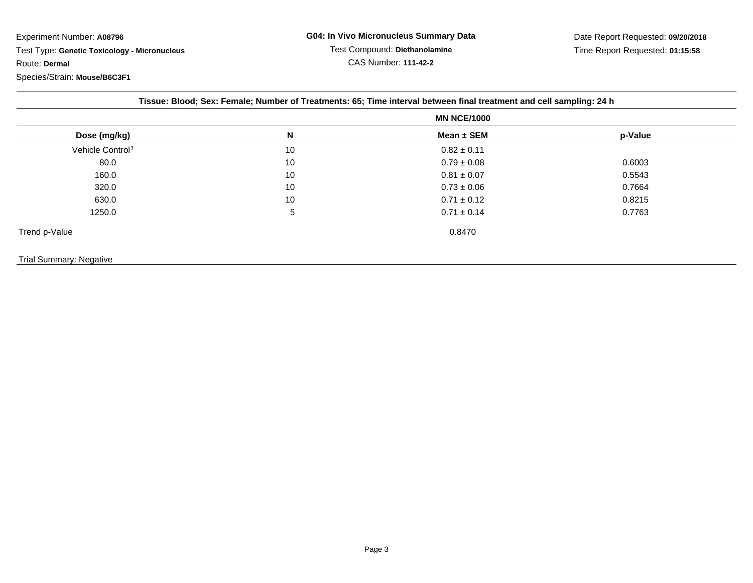|  |  |  | Tissue: Blood; Sex: Female; Number of Treatments: 65; Time interval between final treatment and cell sampling: 24 h |  |  |
|--|--|--|---------------------------------------------------------------------------------------------------------------------|--|--|
|  |  |  |                                                                                                                     |  |  |

|                              |    | <b>MN NCE/1000</b> |         |  |
|------------------------------|----|--------------------|---------|--|
| Dose (mg/kg)                 | N  | Mean ± SEM         | p-Value |  |
| Vehicle Control <sup>1</sup> | 10 | $0.82 \pm 0.11$    |         |  |
| 80.0                         | 10 | $0.79 \pm 0.08$    | 0.6003  |  |
| 160.0                        | 10 | $0.81 \pm 0.07$    | 0.5543  |  |
| 320.0                        | 10 | $0.73 \pm 0.06$    | 0.7664  |  |
| 630.0                        | 10 | $0.71 \pm 0.12$    | 0.8215  |  |
| 1250.0                       | 5  | $0.71 \pm 0.14$    | 0.7763  |  |
| Trend p-Value                |    | 0.8470             |         |  |

## Trial Summary: Negative